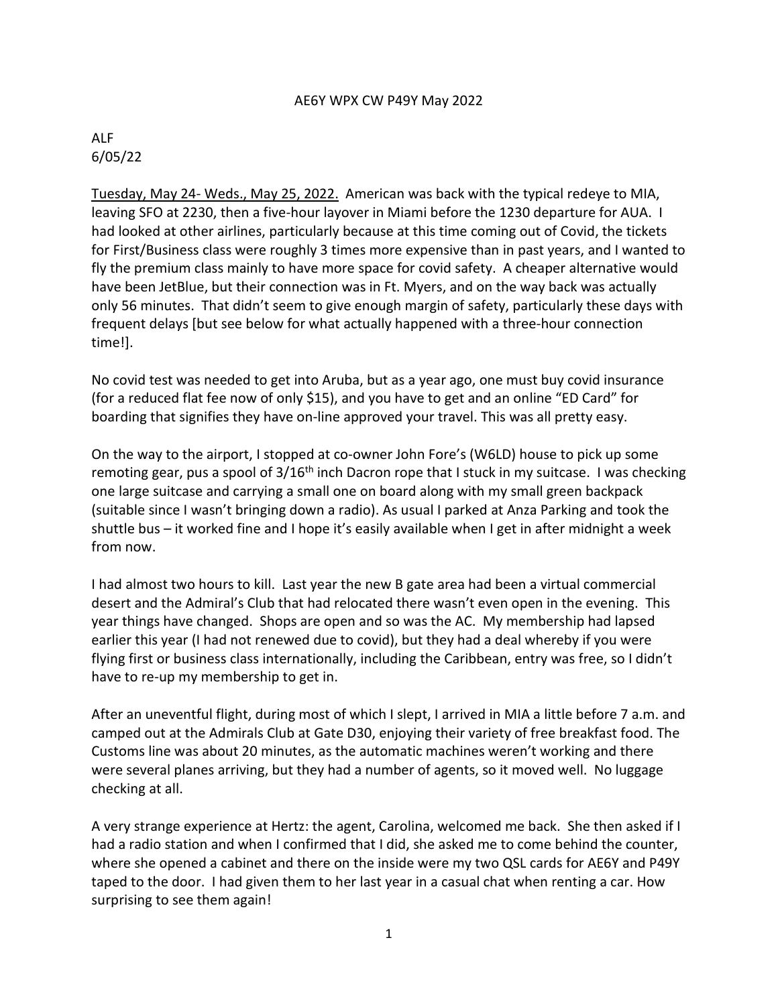## AE6Y WPX CW P49Y May 2022

## ALF 6/05/22

Tuesday, May 24- Weds., May 25, 2022. American was back with the typical redeye to MIA, leaving SFO at 2230, then a five-hour layover in Miami before the 1230 departure for AUA. I had looked at other airlines, particularly because at this time coming out of Covid, the tickets for First/Business class were roughly 3 times more expensive than in past years, and I wanted to fly the premium class mainly to have more space for covid safety. A cheaper alternative would have been JetBlue, but their connection was in Ft. Myers, and on the way back was actually only 56 minutes. That didn't seem to give enough margin of safety, particularly these days with frequent delays [but see below for what actually happened with a three-hour connection time!].

No covid test was needed to get into Aruba, but as a year ago, one must buy covid insurance (for a reduced flat fee now of only \$15), and you have to get and an online "ED Card" for boarding that signifies they have on-line approved your travel. This was all pretty easy.

On the way to the airport, I stopped at co-owner John Fore's (W6LD) house to pick up some remoting gear, pus a spool of  $3/16<sup>th</sup>$  inch Dacron rope that I stuck in my suitcase. I was checking one large suitcase and carrying a small one on board along with my small green backpack (suitable since I wasn't bringing down a radio). As usual I parked at Anza Parking and took the shuttle bus – it worked fine and I hope it's easily available when I get in after midnight a week from now.

I had almost two hours to kill. Last year the new B gate area had been a virtual commercial desert and the Admiral's Club that had relocated there wasn't even open in the evening. This year things have changed. Shops are open and so was the AC. My membership had lapsed earlier this year (I had not renewed due to covid), but they had a deal whereby if you were flying first or business class internationally, including the Caribbean, entry was free, so I didn't have to re-up my membership to get in.

After an uneventful flight, during most of which I slept, I arrived in MIA a little before 7 a.m. and camped out at the Admirals Club at Gate D30, enjoying their variety of free breakfast food. The Customs line was about 20 minutes, as the automatic machines weren't working and there were several planes arriving, but they had a number of agents, so it moved well. No luggage checking at all.

A very strange experience at Hertz: the agent, Carolina, welcomed me back. She then asked if I had a radio station and when I confirmed that I did, she asked me to come behind the counter, where she opened a cabinet and there on the inside were my two QSL cards for AE6Y and P49Y taped to the door. I had given them to her last year in a casual chat when renting a car. How surprising to see them again!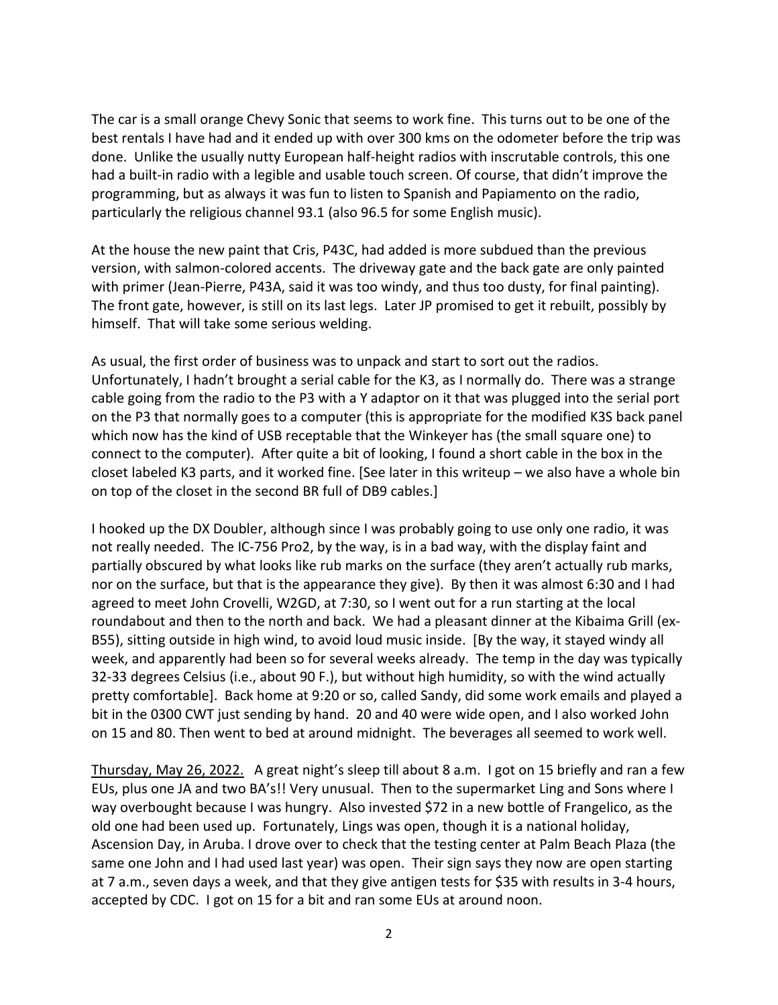The car is a small orange Chevy Sonic that seems to work fine. This turns out to be one of the best rentals I have had and it ended up with over 300 kms on the odometer before the trip was done. Unlike the usually nutty European half-height radios with inscrutable controls, this one had a built-in radio with a legible and usable touch screen. Of course, that didn't improve the programming, but as always it was fun to listen to Spanish and Papiamento on the radio, particularly the religious channel 93.1 (also 96.5 for some English music).

At the house the new paint that Cris, P43C, had added is more subdued than the previous version, with salmon-colored accents. The driveway gate and the back gate are only painted with primer (Jean-Pierre, P43A, said it was too windy, and thus too dusty, for final painting). The front gate, however, is still on its last legs. Later JP promised to get it rebuilt, possibly by himself. That will take some serious welding.

As usual, the first order of business was to unpack and start to sort out the radios. Unfortunately, I hadn't brought a serial cable for the K3, as I normally do. There was a strange cable going from the radio to the P3 with a Y adaptor on it that was plugged into the serial port on the P3 that normally goes to a computer (this is appropriate for the modified K3S back panel which now has the kind of USB receptable that the Winkeyer has (the small square one) to connect to the computer). After quite a bit of looking, I found a short cable in the box in the closet labeled K3 parts, and it worked fine. [See later in this writeup – we also have a whole bin on top of the closet in the second BR full of DB9 cables.]

I hooked up the DX Doubler, although since I was probably going to use only one radio, it was not really needed. The IC-756 Pro2, by the way, is in a bad way, with the display faint and partially obscured by what looks like rub marks on the surface (they aren't actually rub marks, nor on the surface, but that is the appearance they give). By then it was almost 6:30 and I had agreed to meet John Crovelli, W2GD, at 7:30, so I went out for a run starting at the local roundabout and then to the north and back. We had a pleasant dinner at the Kibaima Grill (ex-B55), sitting outside in high wind, to avoid loud music inside. [By the way, it stayed windy all week, and apparently had been so for several weeks already. The temp in the day was typically 32-33 degrees Celsius (i.e., about 90 F.), but without high humidity, so with the wind actually pretty comfortable]. Back home at 9:20 or so, called Sandy, did some work emails and played a bit in the 0300 CWT just sending by hand. 20 and 40 were wide open, and I also worked John on 15 and 80. Then went to bed at around midnight. The beverages all seemed to work well.

Thursday, May 26, 2022. A great night's sleep till about 8 a.m. I got on 15 briefly and ran a few EUs, plus one JA and two BA's!! Very unusual. Then to the supermarket Ling and Sons where I way overbought because I was hungry. Also invested \$72 in a new bottle of Frangelico, as the old one had been used up. Fortunately, Lings was open, though it is a national holiday, Ascension Day, in Aruba. I drove over to check that the testing center at Palm Beach Plaza (the same one John and I had used last year) was open. Their sign says they now are open starting at 7 a.m., seven days a week, and that they give antigen tests for \$35 with results in 3-4 hours, accepted by CDC. I got on 15 for a bit and ran some EUs at around noon.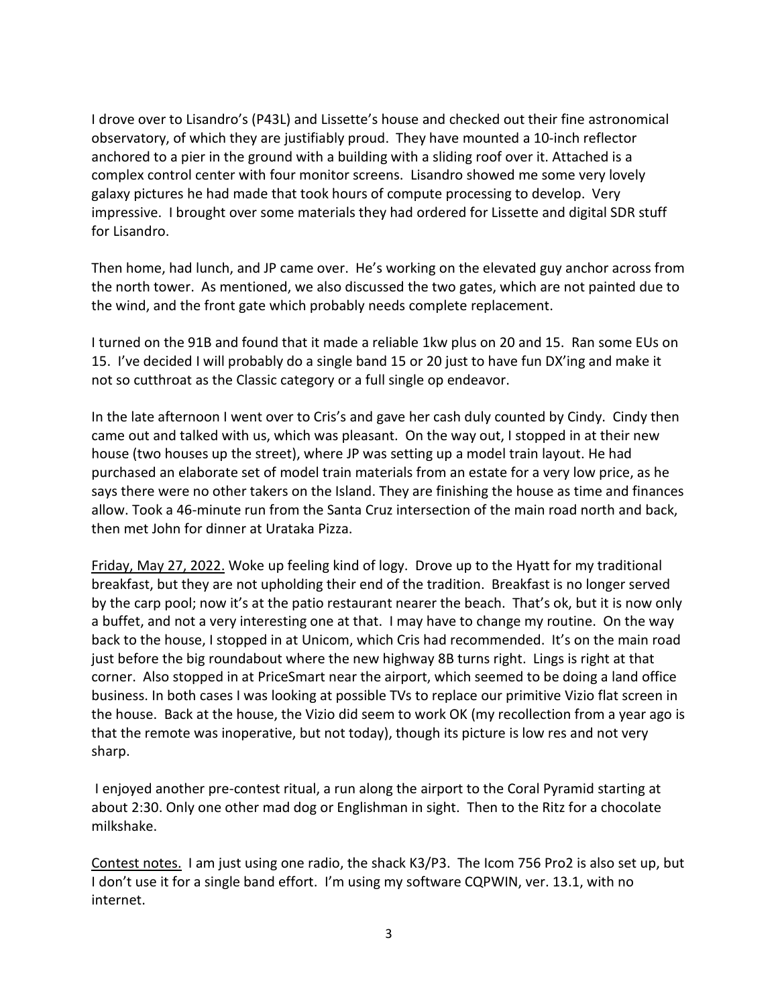I drove over to Lisandro's (P43L) and Lissette's house and checked out their fine astronomical observatory, of which they are justifiably proud. They have mounted a 10-inch reflector anchored to a pier in the ground with a building with a sliding roof over it. Attached is a complex control center with four monitor screens. Lisandro showed me some very lovely galaxy pictures he had made that took hours of compute processing to develop. Very impressive. I brought over some materials they had ordered for Lissette and digital SDR stuff for Lisandro.

Then home, had lunch, and JP came over. He's working on the elevated guy anchor across from the north tower. As mentioned, we also discussed the two gates, which are not painted due to the wind, and the front gate which probably needs complete replacement.

I turned on the 91B and found that it made a reliable 1kw plus on 20 and 15. Ran some EUs on 15. I've decided I will probably do a single band 15 or 20 just to have fun DX'ing and make it not so cutthroat as the Classic category or a full single op endeavor.

In the late afternoon I went over to Cris's and gave her cash duly counted by Cindy. Cindy then came out and talked with us, which was pleasant. On the way out, I stopped in at their new house (two houses up the street), where JP was setting up a model train layout. He had purchased an elaborate set of model train materials from an estate for a very low price, as he says there were no other takers on the Island. They are finishing the house as time and finances allow. Took a 46-minute run from the Santa Cruz intersection of the main road north and back, then met John for dinner at Urataka Pizza.

Friday, May 27, 2022. Woke up feeling kind of logy. Drove up to the Hyatt for my traditional breakfast, but they are not upholding their end of the tradition. Breakfast is no longer served by the carp pool; now it's at the patio restaurant nearer the beach. That's ok, but it is now only a buffet, and not a very interesting one at that. I may have to change my routine. On the way back to the house, I stopped in at Unicom, which Cris had recommended. It's on the main road just before the big roundabout where the new highway 8B turns right. Lings is right at that corner. Also stopped in at PriceSmart near the airport, which seemed to be doing a land office business. In both cases I was looking at possible TVs to replace our primitive Vizio flat screen in the house. Back at the house, the Vizio did seem to work OK (my recollection from a year ago is that the remote was inoperative, but not today), though its picture is low res and not very sharp.

I enjoyed another pre-contest ritual, a run along the airport to the Coral Pyramid starting at about 2:30. Only one other mad dog or Englishman in sight. Then to the Ritz for a chocolate milkshake.

Contest notes. I am just using one radio, the shack K3/P3. The Icom 756 Pro2 is also set up, but I don't use it for a single band effort. I'm using my software CQPWIN, ver. 13.1, with no internet.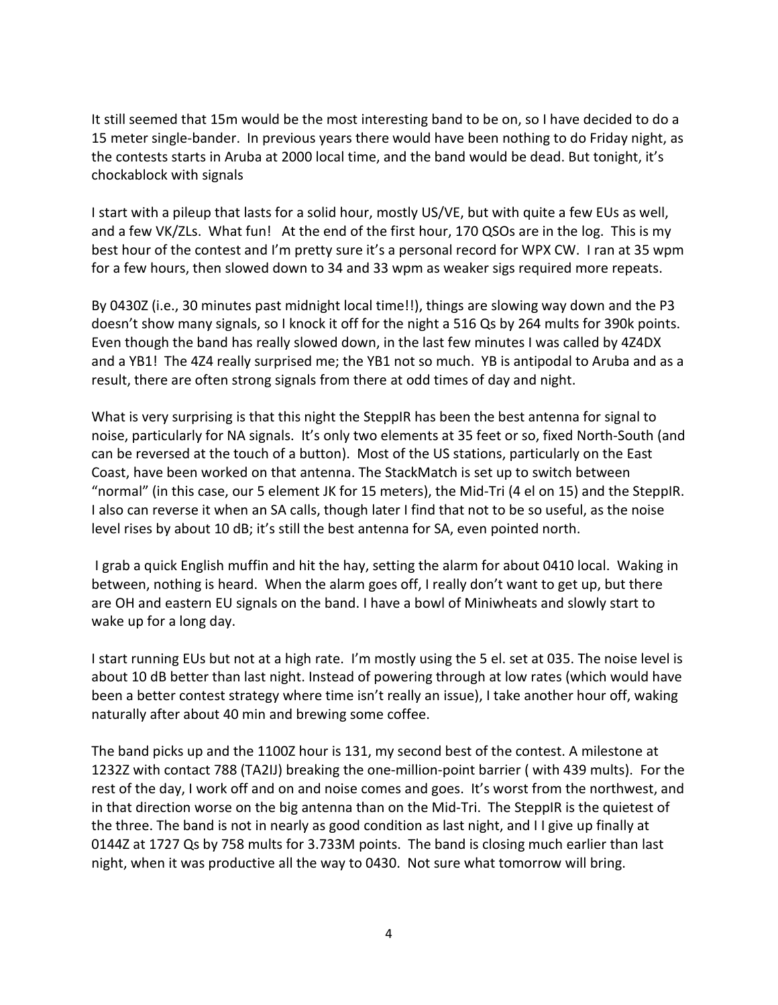It still seemed that 15m would be the most interesting band to be on, so I have decided to do a 15 meter single-bander. In previous years there would have been nothing to do Friday night, as the contests starts in Aruba at 2000 local time, and the band would be dead. But tonight, it's chockablock with signals

I start with a pileup that lasts for a solid hour, mostly US/VE, but with quite a few EUs as well, and a few VK/ZLs. What fun! At the end of the first hour, 170 QSOs are in the log. This is my best hour of the contest and I'm pretty sure it's a personal record for WPX CW. I ran at 35 wpm for a few hours, then slowed down to 34 and 33 wpm as weaker sigs required more repeats.

By 0430Z (i.e., 30 minutes past midnight local time!!), things are slowing way down and the P3 doesn't show many signals, so I knock it off for the night a 516 Qs by 264 mults for 390k points. Even though the band has really slowed down, in the last few minutes I was called by 4Z4DX and a YB1! The 4Z4 really surprised me; the YB1 not so much. YB is antipodal to Aruba and as a result, there are often strong signals from there at odd times of day and night.

What is very surprising is that this night the SteppIR has been the best antenna for signal to noise, particularly for NA signals. It's only two elements at 35 feet or so, fixed North-South (and can be reversed at the touch of a button). Most of the US stations, particularly on the East Coast, have been worked on that antenna. The StackMatch is set up to switch between "normal" (in this case, our 5 element JK for 15 meters), the Mid-Tri (4 el on 15) and the SteppIR. I also can reverse it when an SA calls, though later I find that not to be so useful, as the noise level rises by about 10 dB; it's still the best antenna for SA, even pointed north.

I grab a quick English muffin and hit the hay, setting the alarm for about 0410 local. Waking in between, nothing is heard. When the alarm goes off, I really don't want to get up, but there are OH and eastern EU signals on the band. I have a bowl of Miniwheats and slowly start to wake up for a long day.

I start running EUs but not at a high rate. I'm mostly using the 5 el. set at 035. The noise level is about 10 dB better than last night. Instead of powering through at low rates (which would have been a better contest strategy where time isn't really an issue), I take another hour off, waking naturally after about 40 min and brewing some coffee.

The band picks up and the 1100Z hour is 131, my second best of the contest. A milestone at 1232Z with contact 788 (TA2IJ) breaking the one-million-point barrier ( with 439 mults). For the rest of the day, I work off and on and noise comes and goes. It's worst from the northwest, and in that direction worse on the big antenna than on the Mid-Tri. The SteppIR is the quietest of the three. The band is not in nearly as good condition as last night, and I I give up finally at 0144Z at 1727 Qs by 758 mults for 3.733M points. The band is closing much earlier than last night, when it was productive all the way to 0430. Not sure what tomorrow will bring.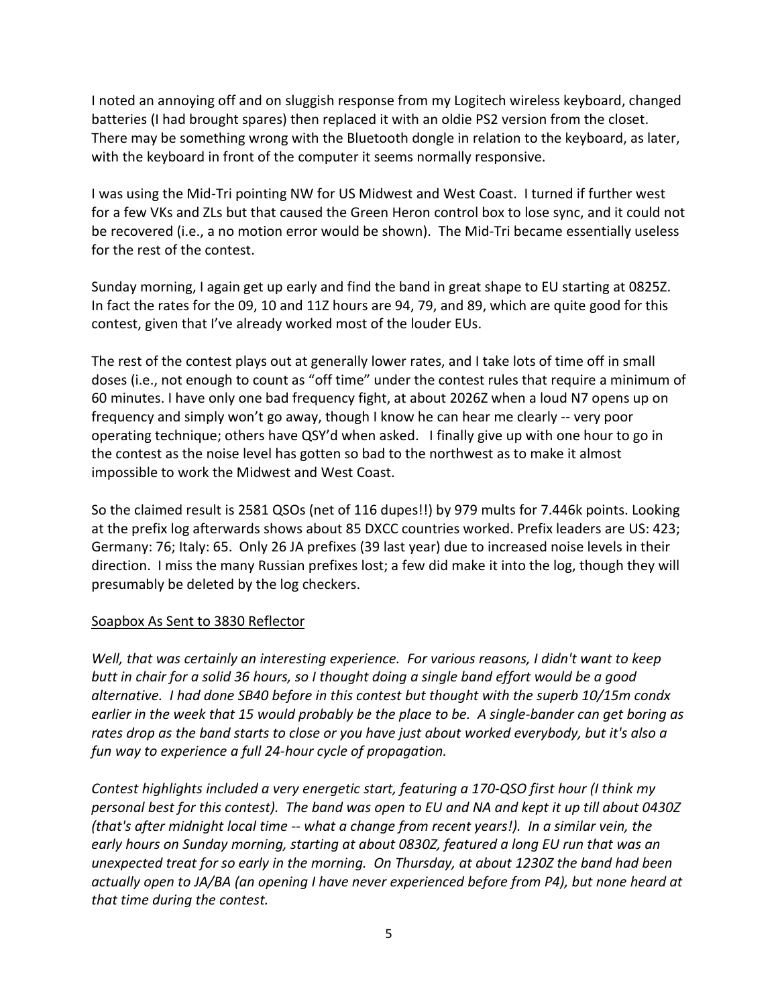I noted an annoying off and on sluggish response from my Logitech wireless keyboard, changed batteries (I had brought spares) then replaced it with an oldie PS2 version from the closet. There may be something wrong with the Bluetooth dongle in relation to the keyboard, as later, with the keyboard in front of the computer it seems normally responsive.

I was using the Mid-Tri pointing NW for US Midwest and West Coast. I turned if further west for a few VKs and ZLs but that caused the Green Heron control box to lose sync, and it could not be recovered (i.e., a no motion error would be shown). The Mid-Tri became essentially useless for the rest of the contest.

Sunday morning, I again get up early and find the band in great shape to EU starting at 0825Z. In fact the rates for the 09, 10 and 11Z hours are 94, 79, and 89, which are quite good for this contest, given that I've already worked most of the louder EUs.

The rest of the contest plays out at generally lower rates, and I take lots of time off in small doses (i.e., not enough to count as "off time" under the contest rules that require a minimum of 60 minutes. I have only one bad frequency fight, at about 2026Z when a loud N7 opens up on frequency and simply won't go away, though I know he can hear me clearly -- very poor operating technique; others have QSY'd when asked. I finally give up with one hour to go in the contest as the noise level has gotten so bad to the northwest as to make it almost impossible to work the Midwest and West Coast.

So the claimed result is 2581 QSOs (net of 116 dupes!!) by 979 mults for 7.446k points. Looking at the prefix log afterwards shows about 85 DXCC countries worked. Prefix leaders are US: 423; Germany: 76; Italy: 65. Only 26 JA prefixes (39 last year) due to increased noise levels in their direction. I miss the many Russian prefixes lost; a few did make it into the log, though they will presumably be deleted by the log checkers.

## Soapbox As Sent to 3830 Reflector

*Well, that was certainly an interesting experience. For various reasons, I didn't want to keep butt in chair for a solid 36 hours, so I thought doing a single band effort would be a good alternative. I had done SB40 before in this contest but thought with the superb 10/15m condx earlier in the week that 15 would probably be the place to be. A single-bander can get boring as rates drop as the band starts to close or you have just about worked everybody, but it's also a fun way to experience a full 24-hour cycle of propagation.*

*Contest highlights included a very energetic start, featuring a 170-QSO first hour (I think my personal best for this contest). The band was open to EU and NA and kept it up till about 0430Z (that's after midnight local time -- what a change from recent years!). In a similar vein, the early hours on Sunday morning, starting at about 0830Z, featured a long EU run that was an unexpected treat for so early in the morning. On Thursday, at about 1230Z the band had been actually open to JA/BA (an opening I have never experienced before from P4), but none heard at that time during the contest.*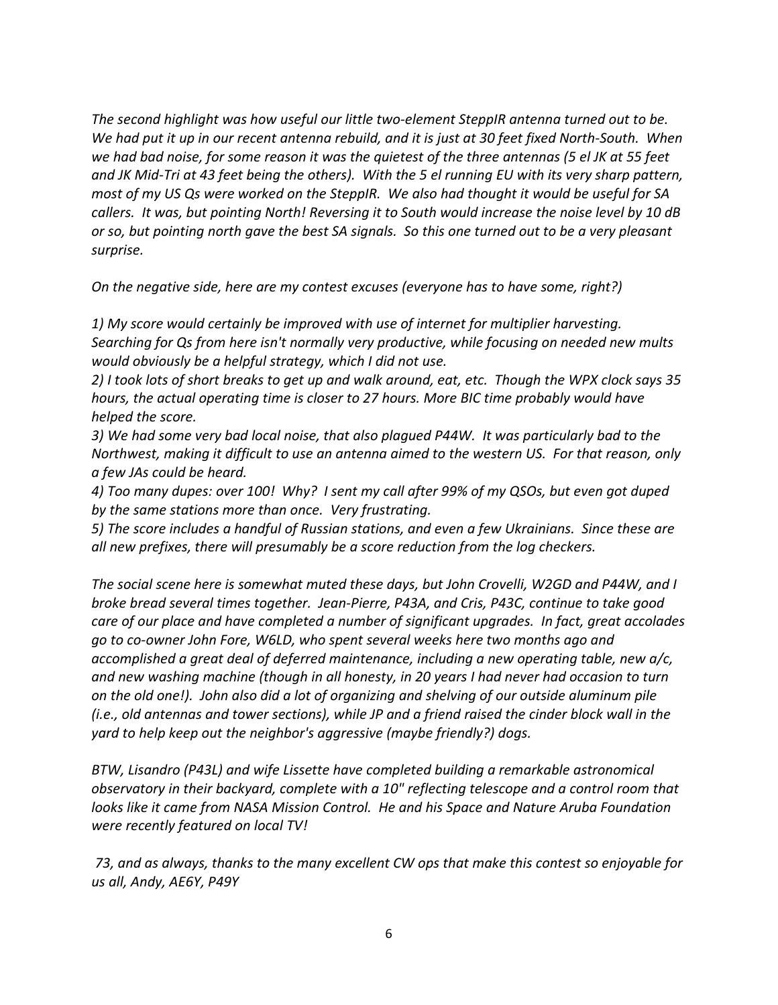*The second highlight was how useful our little two-element SteppIR antenna turned out to be. We had put it up in our recent antenna rebuild, and it is just at 30 feet fixed North-South. When we had bad noise, for some reason it was the quietest of the three antennas (5 el JK at 55 feet and JK Mid-Tri at 43 feet being the others). With the 5 el running EU with its very sharp pattern, most of my US Qs were worked on the SteppIR. We also had thought it would be useful for SA callers. It was, but pointing North! Reversing it to South would increase the noise level by 10 dB or so, but pointing north gave the best SA signals. So this one turned out to be a very pleasant surprise.* 

*On the negative side, here are my contest excuses (everyone has to have some, right?)*

*1) My score would certainly be improved with use of internet for multiplier harvesting. Searching for Qs from here isn't normally very productive, while focusing on needed new mults would obviously be a helpful strategy, which I did not use.*

*2) I took lots of short breaks to get up and walk around, eat, etc. Though the WPX clock says 35 hours, the actual operating time is closer to 27 hours. More BIC time probably would have helped the score.*

*3) We had some very bad local noise, that also plagued P44W. It was particularly bad to the Northwest, making it difficult to use an antenna aimed to the western US. For that reason, only a few JAs could be heard.*

*4) Too many dupes: over 100! Why? I sent my call after 99% of my QSOs, but even got duped by the same stations more than once. Very frustrating.*

*5) The score includes a handful of Russian stations, and even a few Ukrainians. Since these are all new prefixes, there will presumably be a score reduction from the log checkers.*

*The social scene here is somewhat muted these days, but John Crovelli, W2GD and P44W, and I broke bread several times together. Jean-Pierre, P43A, and Cris, P43C, continue to take good care of our place and have completed a number of significant upgrades. In fact, great accolades go to co-owner John Fore, W6LD, who spent several weeks here two months ago and accomplished a great deal of deferred maintenance, including a new operating table, new a/c, and new washing machine (though in all honesty, in 20 years I had never had occasion to turn on the old one!). John also did a lot of organizing and shelving of our outside aluminum pile (i.e., old antennas and tower sections), while JP and a friend raised the cinder block wall in the yard to help keep out the neighbor's aggressive (maybe friendly?) dogs.* 

*BTW, Lisandro (P43L) and wife Lissette have completed building a remarkable astronomical observatory in their backyard, complete with a 10" reflecting telescope and a control room that looks like it came from NASA Mission Control. He and his Space and Nature Aruba Foundation were recently featured on local TV!*

*73, and as always, thanks to the many excellent CW ops that make this contest so enjoyable for us all, Andy, AE6Y, P49Y*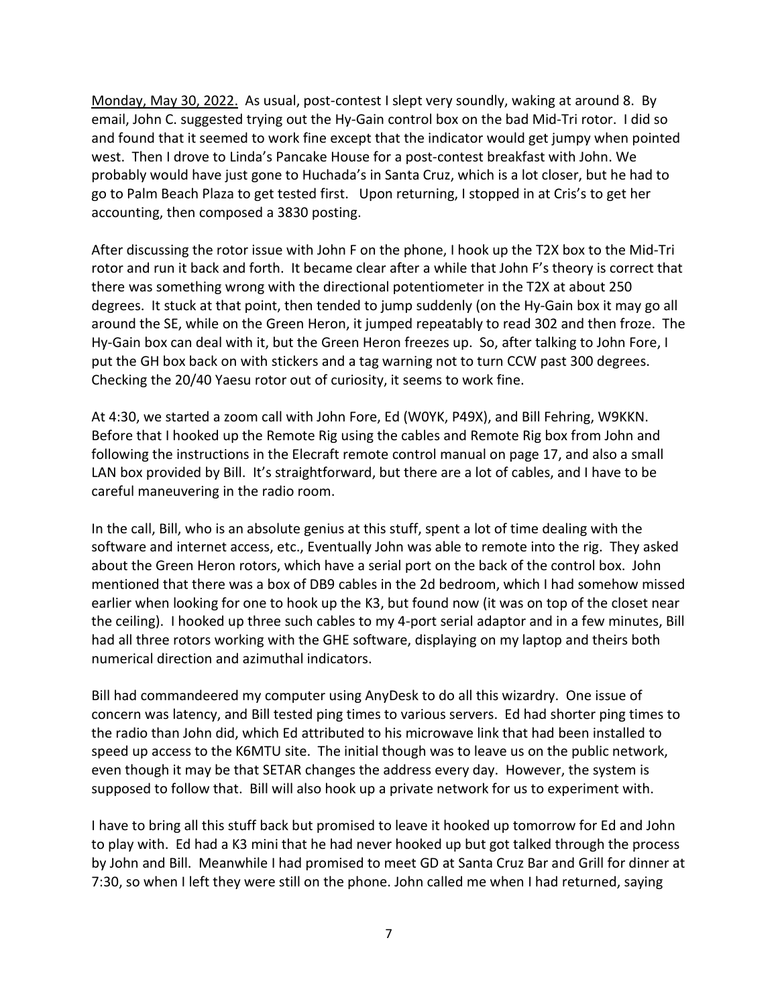Monday, May 30, 2022. As usual, post-contest I slept very soundly, waking at around 8. By email, John C. suggested trying out the Hy-Gain control box on the bad Mid-Tri rotor. I did so and found that it seemed to work fine except that the indicator would get jumpy when pointed west. Then I drove to Linda's Pancake House for a post-contest breakfast with John. We probably would have just gone to Huchada's in Santa Cruz, which is a lot closer, but he had to go to Palm Beach Plaza to get tested first. Upon returning, I stopped in at Cris's to get her accounting, then composed a 3830 posting.

After discussing the rotor issue with John F on the phone, I hook up the T2X box to the Mid-Tri rotor and run it back and forth. It became clear after a while that John F's theory is correct that there was something wrong with the directional potentiometer in the T2X at about 250 degrees. It stuck at that point, then tended to jump suddenly (on the Hy-Gain box it may go all around the SE, while on the Green Heron, it jumped repeatably to read 302 and then froze. The Hy-Gain box can deal with it, but the Green Heron freezes up. So, after talking to John Fore, I put the GH box back on with stickers and a tag warning not to turn CCW past 300 degrees. Checking the 20/40 Yaesu rotor out of curiosity, it seems to work fine.

At 4:30, we started a zoom call with John Fore, Ed (W0YK, P49X), and Bill Fehring, W9KKN. Before that I hooked up the Remote Rig using the cables and Remote Rig box from John and following the instructions in the Elecraft remote control manual on page 17, and also a small LAN box provided by Bill. It's straightforward, but there are a lot of cables, and I have to be careful maneuvering in the radio room.

In the call, Bill, who is an absolute genius at this stuff, spent a lot of time dealing with the software and internet access, etc., Eventually John was able to remote into the rig. They asked about the Green Heron rotors, which have a serial port on the back of the control box. John mentioned that there was a box of DB9 cables in the 2d bedroom, which I had somehow missed earlier when looking for one to hook up the K3, but found now (it was on top of the closet near the ceiling). I hooked up three such cables to my 4-port serial adaptor and in a few minutes, Bill had all three rotors working with the GHE software, displaying on my laptop and theirs both numerical direction and azimuthal indicators.

Bill had commandeered my computer using AnyDesk to do all this wizardry. One issue of concern was latency, and Bill tested ping times to various servers. Ed had shorter ping times to the radio than John did, which Ed attributed to his microwave link that had been installed to speed up access to the K6MTU site. The initial though was to leave us on the public network, even though it may be that SETAR changes the address every day. However, the system is supposed to follow that. Bill will also hook up a private network for us to experiment with.

I have to bring all this stuff back but promised to leave it hooked up tomorrow for Ed and John to play with. Ed had a K3 mini that he had never hooked up but got talked through the process by John and Bill. Meanwhile I had promised to meet GD at Santa Cruz Bar and Grill for dinner at 7:30, so when I left they were still on the phone. John called me when I had returned, saying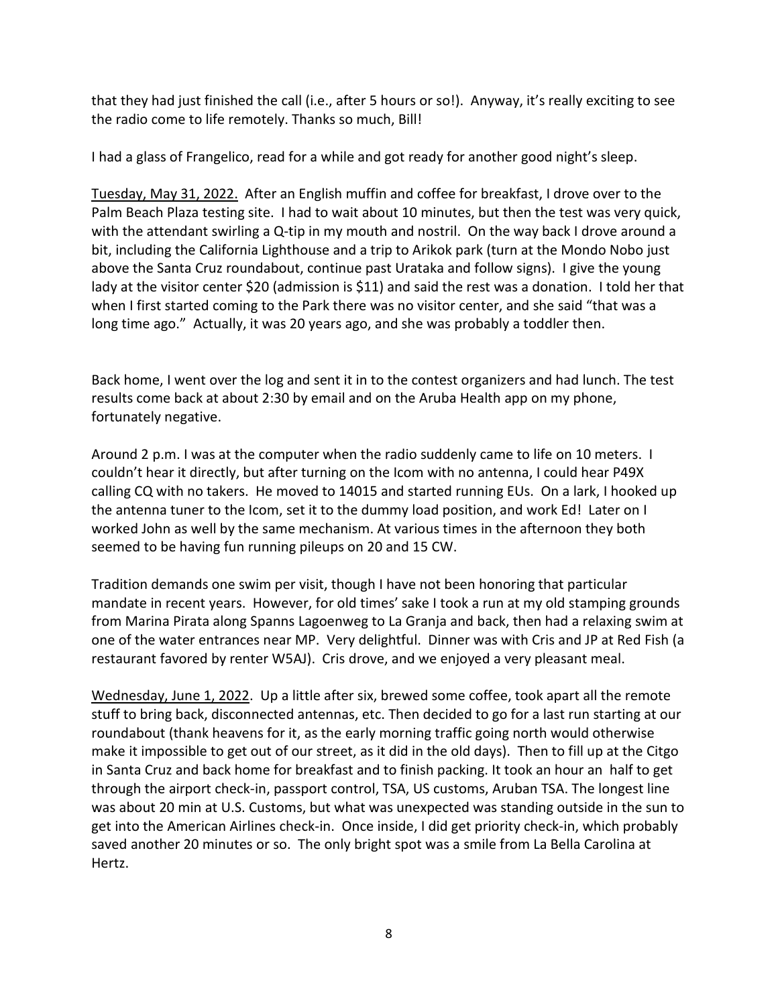that they had just finished the call (i.e., after 5 hours or so!). Anyway, it's really exciting to see the radio come to life remotely. Thanks so much, Bill!

I had a glass of Frangelico, read for a while and got ready for another good night's sleep.

Tuesday, May 31, 2022. After an English muffin and coffee for breakfast, I drove over to the Palm Beach Plaza testing site. I had to wait about 10 minutes, but then the test was very quick, with the attendant swirling a Q-tip in my mouth and nostril. On the way back I drove around a bit, including the California Lighthouse and a trip to Arikok park (turn at the Mondo Nobo just above the Santa Cruz roundabout, continue past Urataka and follow signs). I give the young lady at the visitor center \$20 (admission is \$11) and said the rest was a donation. I told her that when I first started coming to the Park there was no visitor center, and she said "that was a long time ago." Actually, it was 20 years ago, and she was probably a toddler then.

Back home, I went over the log and sent it in to the contest organizers and had lunch. The test results come back at about 2:30 by email and on the Aruba Health app on my phone, fortunately negative.

Around 2 p.m. I was at the computer when the radio suddenly came to life on 10 meters. I couldn't hear it directly, but after turning on the Icom with no antenna, I could hear P49X calling CQ with no takers. He moved to 14015 and started running EUs. On a lark, I hooked up the antenna tuner to the Icom, set it to the dummy load position, and work Ed! Later on I worked John as well by the same mechanism. At various times in the afternoon they both seemed to be having fun running pileups on 20 and 15 CW.

Tradition demands one swim per visit, though I have not been honoring that particular mandate in recent years. However, for old times' sake I took a run at my old stamping grounds from Marina Pirata along Spanns Lagoenweg to La Granja and back, then had a relaxing swim at one of the water entrances near MP. Very delightful. Dinner was with Cris and JP at Red Fish (a restaurant favored by renter W5AJ). Cris drove, and we enjoyed a very pleasant meal.

Wednesday, June 1, 2022. Up a little after six, brewed some coffee, took apart all the remote stuff to bring back, disconnected antennas, etc. Then decided to go for a last run starting at our roundabout (thank heavens for it, as the early morning traffic going north would otherwise make it impossible to get out of our street, as it did in the old days). Then to fill up at the Citgo in Santa Cruz and back home for breakfast and to finish packing. It took an hour an half to get through the airport check-in, passport control, TSA, US customs, Aruban TSA. The longest line was about 20 min at U.S. Customs, but what was unexpected was standing outside in the sun to get into the American Airlines check-in. Once inside, I did get priority check-in, which probably saved another 20 minutes or so. The only bright spot was a smile from La Bella Carolina at Hertz.